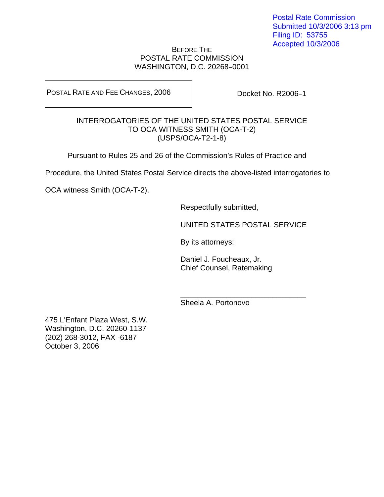## BEFORE THE POSTAL RATE COMMISSION WASHINGTON, D.C. 20268-0001

POSTAL RATE AND FEE CHANGES, 2006

Docket No. R2006-1

# INTERROGATORIES OF THE UNITED STATES POSTAL SERVICE TO OCA WITNESS SMITH (OCA-T-2) (USPS/OCA-T2-1-8)

Pursuant to Rules 25 and 26 of the Commission's Rules of Practice and

Procedure, the United States Postal Service directs the above-listed interrogatories to

 $\frac{1}{\sqrt{2\pi}}$  ,  $\frac{1}{\sqrt{2\pi}}$  ,  $\frac{1}{\sqrt{2\pi}}$  ,  $\frac{1}{\sqrt{2\pi}}$  ,  $\frac{1}{\sqrt{2\pi}}$  ,  $\frac{1}{\sqrt{2\pi}}$  ,  $\frac{1}{\sqrt{2\pi}}$  ,  $\frac{1}{\sqrt{2\pi}}$  ,  $\frac{1}{\sqrt{2\pi}}$  ,  $\frac{1}{\sqrt{2\pi}}$  ,  $\frac{1}{\sqrt{2\pi}}$  ,  $\frac{1}{\sqrt{2\pi}}$  ,  $\frac{1}{\sqrt{2\pi}}$  ,

OCA witness Smith (OCA-T-2).

Respectfully submitted,

UNITED STATES POSTAL SERVICE

By its attorneys:

Daniel J. Foucheaux, Jr. Chief Counsel, Ratemaking

Sheela A. Portonovo

475 L'Enfant Plaza West, S.W. Washington, D.C. 20260-1137 (202) 268-3012, FAX -6187 October 3, 2006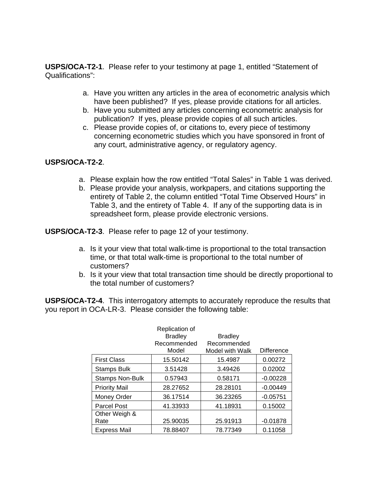**USPS/OCA-T2-1**. Please refer to your testimony at page 1, entitled "Statement of Qualifications":

- a. Have you written any articles in the area of econometric analysis which have been published? If yes, please provide citations for all articles.
- b. Have you submitted any articles concerning econometric analysis for publication? If yes, please provide copies of all such articles.
- c. Please provide copies of, or citations to, every piece of testimony concerning econometric studies which you have sponsored in front of any court, administrative agency, or regulatory agency.

# **USPS/OCA-T2-2**.

- a. Please explain how the row entitled "Total Sales" in Table 1 was derived.
- b. Please provide your analysis, workpapers, and citations supporting the entirety of Table 2, the column entitled "Total Time Observed Hours" in Table 3, and the entirety of Table 4. If any of the supporting data is in spreadsheet form, please provide electronic versions.

**USPS/OCA-T2-3**. Please refer to page 12 of your testimony.

- a. Is it your view that total walk-time is proportional to the total transaction time, or that total walk-time is proportional to the total number of customers?
- b. Is it your view that total transaction time should be directly proportional to the total number of customers?

**USPS/OCA-T2-4**. This interrogatory attempts to accurately reproduce the results that you report in OCA-LR-3. Please consider the following table:

|                        | Replication of |                 |                   |
|------------------------|----------------|-----------------|-------------------|
|                        | <b>Bradley</b> | <b>Bradley</b>  |                   |
|                        | Recommended    | Recommended     |                   |
|                        | Model          | Model with Walk | <b>Difference</b> |
| <b>First Class</b>     | 15.50142       | 15.4987         | 0.00272           |
| <b>Stamps Bulk</b>     | 3.51428        | 3.49426         | 0.02002           |
| <b>Stamps Non-Bulk</b> | 0.57943        | 0.58171         | $-0.00228$        |
| <b>Priority Mail</b>   | 28.27652       | 28.28101        | $-0.00449$        |
| Money Order            | 36.17514       | 36.23265        | $-0.05751$        |
| Parcel Post            | 41.33933       | 41.18931        | 0.15002           |
| Other Weigh &          |                |                 |                   |
| Rate                   | 25.90035       | 25.91913        | $-0.01878$        |
| <b>Express Mail</b>    | 78.88407       | 78.77349        | 0.11058           |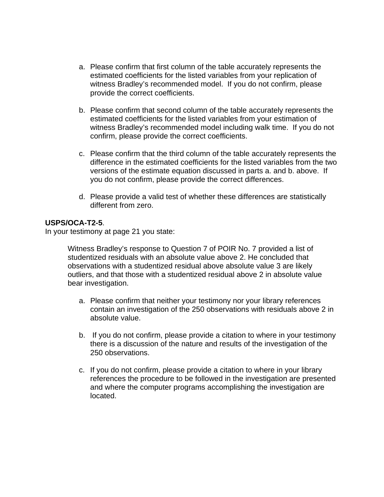- a. Please confirm that first column of the table accurately represents the estimated coefficients for the listed variables from your replication of witness Bradley's recommended model. If you do not confirm, please provide the correct coefficients.
- b. Please confirm that second column of the table accurately represents the estimated coefficients for the listed variables from your estimation of witness Bradley's recommended model including walk time. If you do not confirm, please provide the correct coefficients.
- c. Please confirm that the third column of the table accurately represents the difference in the estimated coefficients for the listed variables from the two versions of the estimate equation discussed in parts a. and b. above. If you do not confirm, please provide the correct differences.
- d. Please provide a valid test of whether these differences are statistically different from zero.

## **USPS/OCA-T2-5**.

In your testimony at page 21 you state:

 Witness Bradley's response to Question 7 of POIR No. 7 provided a list of studentized residuals with an absolute value above 2. He concluded that observations with a studentized residual above absolute value 3 are likely outliers, and that those with a studentized residual above 2 in absolute value bear investigation.

- a. Please confirm that neither your testimony nor your library references contain an investigation of the 250 observations with residuals above 2 in absolute value.
- b. If you do not confirm, please provide a citation to where in your testimony there is a discussion of the nature and results of the investigation of the 250 observations.
- c. If you do not confirm, please provide a citation to where in your library references the procedure to be followed in the investigation are presented and where the computer programs accomplishing the investigation are located.